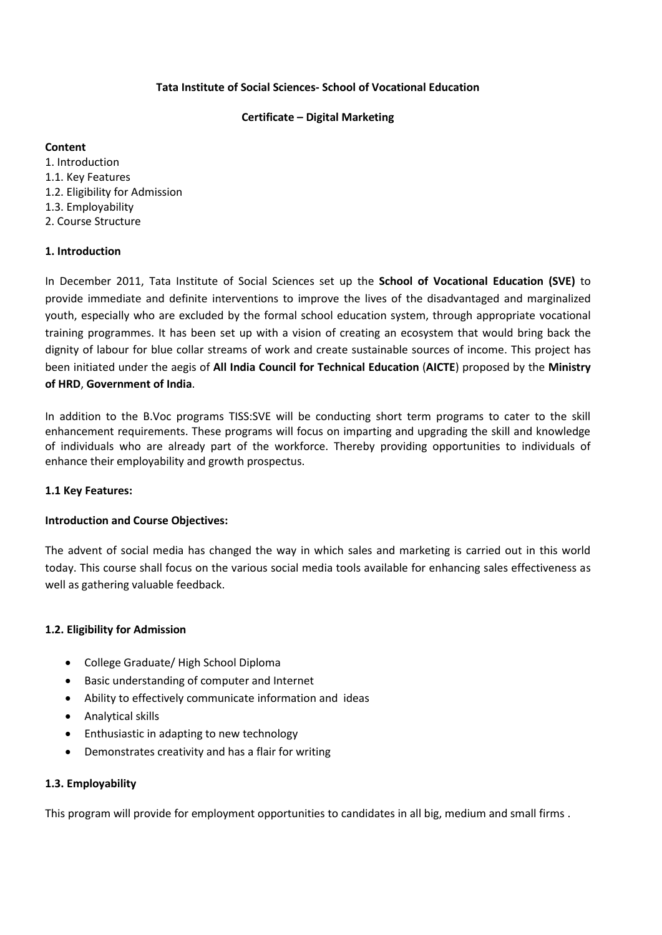## **Tata Institute of Social Sciences- School of Vocational Education**

### **Certificate – Digital Marketing**

## **Content**

1. Introduction 1.1. Key Features 1.2. Eligibility for Admission 1.3. Employability 2. Course Structure

# **1. Introduction**

In December 2011, Tata Institute of Social Sciences set up the **School of Vocational Education (SVE)** to provide immediate and definite interventions to improve the lives of the disadvantaged and marginalized youth, especially who are excluded by the formal school education system, through appropriate vocational training programmes. It has been set up with a vision of creating an ecosystem that would bring back the dignity of labour for blue collar streams of work and create sustainable sources of income. This project has been initiated under the aegis of **All India Council for Technical Education** (**AICTE**) proposed by the **Ministry of HRD**, **Government of India**.

In addition to the B.Voc programs TISS:SVE will be conducting short term programs to cater to the skill enhancement requirements. These programs will focus on imparting and upgrading the skill and knowledge of individuals who are already part of the workforce. Thereby providing opportunities to individuals of enhance their employability and growth prospectus.

# **1.1 Key Features:**

# **Introduction and Course Objectives:**

The advent of social media has changed the way in which sales and marketing is carried out in this world today. This course shall focus on the various social media tools available for enhancing sales effectiveness as well as gathering valuable feedback.

# **1.2. Eligibility for Admission**

- College Graduate/ High School Diploma
- Basic understanding of computer and Internet
- Ability to effectively communicate information and ideas
- Analytical skills
- Enthusiastic in adapting to new technology
- Demonstrates creativity and has a flair for writing

# **1.3. Employability**

This program will provide for employment opportunities to candidates in all big, medium and small firms .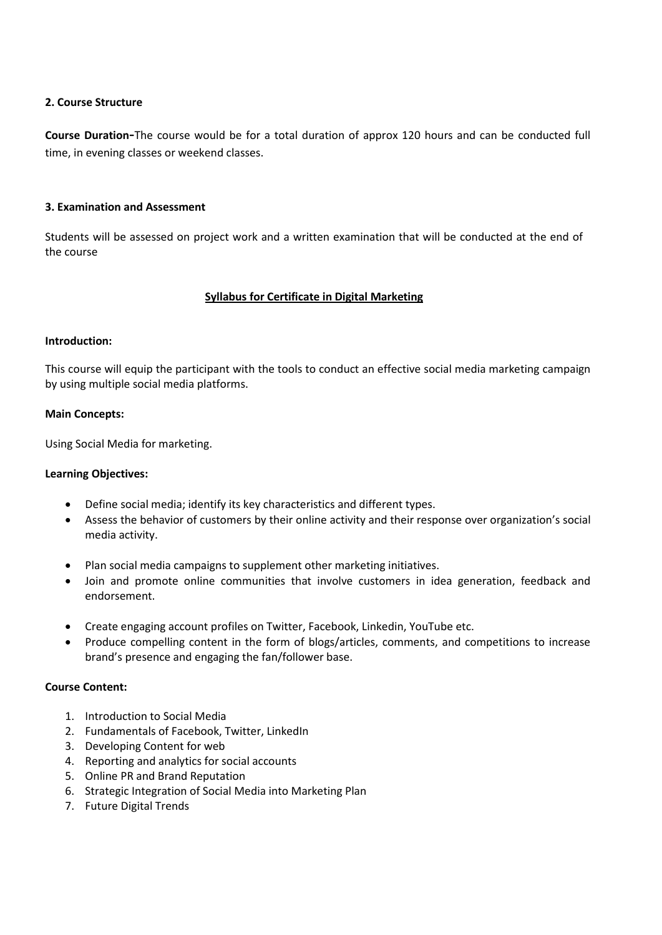### **2. Course Structure**

**Course Duration-**The course would be for a total duration of approx 120 hours and can be conducted full time, in evening classes or weekend classes.

### **3. Examination and Assessment**

Students will be assessed on project work and a written examination that will be conducted at the end of the course

## **Syllabus for Certificate in Digital Marketing**

## **Introduction:**

This course will equip the participant with the tools to conduct an effective social media marketing campaign by using multiple social media platforms.

### **Main Concepts:**

Using Social Media for marketing.

### **Learning Objectives:**

- Define social media; identify its key characteristics and different types.
- Assess the behavior of customers by their online activity and their response over organization's social media activity.
- Plan social media campaigns to supplement other marketing initiatives.
- Join and promote online communities that involve customers in idea generation, feedback and endorsement.
- Create engaging account profiles on Twitter, Facebook, Linkedin, YouTube etc.
- Produce compelling content in the form of blogs/articles, comments, and competitions to increase brand's presence and engaging the fan/follower base.

### **Course Content:**

- 1. Introduction to Social Media
- 2. Fundamentals of Facebook, Twitter, LinkedIn
- 3. Developing Content for web
- 4. Reporting and analytics for social accounts
- 5. Online PR and Brand Reputation
- 6. Strategic Integration of Social Media into Marketing Plan
- 7. Future Digital Trends